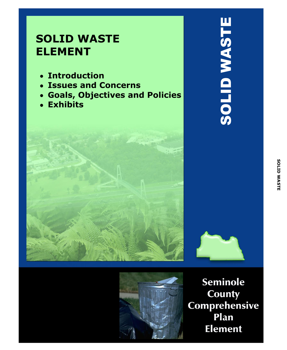# **SOLID WASTE ELEMENT**

- **Introduction**  $\bullet$
- **Issues and Concerns**
- **Goals, Objectives and Policies**  $\bullet$
- **Exhibits**





**Seminole County** Comprehensive Plan **Element**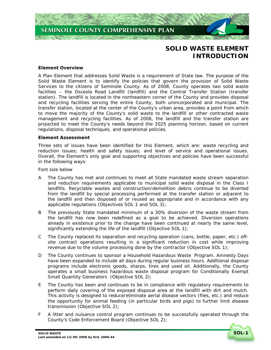

# **SOLID WASTE ELEMENT INTRODUCTION**

# **Element Overview**

A Plan Element that addresses Solid Waste is a requirement of State law. The purpose of the Solid Waste Element is to identify the policies that govern the provision of Solid Waste Services to the citizens of Seminole County. As of 2008, County operates two solid waste facilities – the Osceola Road Landfill (landfill) and the Central Transfer Station (transfer station). The landfill is located in the northeastern corner of the County and provides disposal and recycling facilities serving the entire County, both unincorporated and municipal. The transfer station, located at the center of the County's urban area, provides a point from which to move the majority of the County's solid waste to the landfill or other contracted waste management and recycling facilities. As of 2006, the landfill and the transfer station are projected to meet the County's needs beyond the 2025 planning horizon, based on current regulations, disposal techniques, and operational policies.

# **Element Assessment**

Three sets of issues have been identified for this Element, which are: waste recycling and reduction issues; health and safety issues; and level of service and operational issues. Overall, the Element's only goal and supporting objectives and policies have been successful in the following ways:

Font size below

- A The County has met and continues to meet all State mandated waste stream separation and reduction requirements applicable to municipal solid waste disposal in the Class I landfills. Recyclable wastes and construction/demolition debris continue to be diverted from the landfill by special processing performed at the transfer station or adjacent to the landfill and then disposed of or reused as appropriate and in accordance with any applicable regulations *(Objectives SOL 1 and SOL 3)*;
- B The previously State mandated minimum of a 30% diversion of the waste stream from the landfill has now been redefined as a goal to be achieved. Diversion operations already in existence prior to the change have been continued at nearly the same level, significantly extending the life of the landfill *(Objective SOL 1)*;
- C The County replaced its separation and recycling operation (cans, bottle, paper, etc.) offsite contract operations resulting in a significant reduction in cost while improving revenue due to the volume processing done by the contractor *(Objective SOL 1)*;
- D The County continues to sponsor a Household Hazardous Waste Program. Amnesty Days have been expanded to include all days during regular business hours. Additional disposal programs include electronic goods, sharps, tires and used oil. Additionally, the County operates a small business hazardous waste disposal program for Conditionally Exempt Small Quantity Generators *(Objective SOL 2)*;
- E The County has been and continues to be in compliance with regulatory requirements to perform daily covering of the exposed disposal area at the landfill with dirt and mulch. This activity is designed to reduce/eliminate aerial disease vectors (flies, etc.) and reduce the opportunity for animal feeding (in particular birds and pigs) to further limit disease transmission *(Objective SOL 2)*;
- F A litter and nuisance control program continues to be successfully operated through the County's Code Enforcement Board *(Objective SOL 2)*;

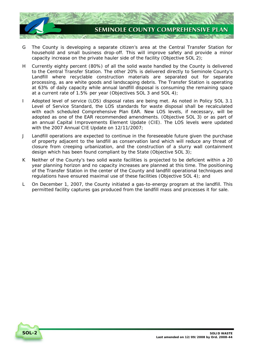

- G The County is developing a separate citizen's area at the Central Transfer Station for household and small business drop-off. This will improve safety and provide a minor capacity increase on the private hauler side of the facility *(Objective SOL 2)*;
- H Currently eighty percent (80%) of all the solid waste handled by the County is delivered to the Central Transfer Station. The other 20% is delivered directly to Seminole County's Landfill where recyclable construction materials are separated out for separate processing, as are white goods and landscaping debris. The Transfer Station is operating at 63% of daily capacity while annual landfill disposal is consuming the remaining space at a current rate of 1.5% per year *(Objectives SOL 3 and SOL 4)*;
- I Adopted level of service (LOS) disposal rates are being met. As noted in *Policy SOL 3.1 Level of Service Standard*, the LOS standards for waste disposal shall be recalculated with each scheduled Comprehensive Plan EAR. New LOS levels, if necessary, will be adopted as one of the EAR recommended amendments. *(Objective SOL 3)* or as part of an annual Capital Improvements Element Update (CIE). The LOS levels were updated with the 2007 Annual CIE Update on 12/11/2007;
- J Landfill operations are expected to continue in the foreseeable future given the purchase of property adjacent to the landfill as conservation land which will reduce any threat of closure from creeping urbanization, and the construction of a slurry wall containment design which has been found compliant by the State *(Objective SOL 3)*;
- K Neither of the County's two solid waste facilities is projected to be deficient within a 20 year planning horizon and no capacity increases are planned at this time. The positioning of the Transfer Station in the center of the County and landfill operational techniques and regulations have ensured maximal use of these facilities *(Objective SOL 4)*; and
- L On December 1, 2007, the County initiated a gas-to-energy program at the landfill. This permitted facility captures gas produced from the landfill mass and processes it for sale.

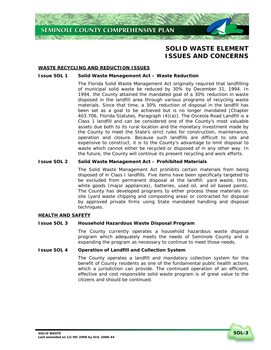

# **SOLID WASTE ELEMENT ISSUES AND CONCERNS**

# **WASTE RECYCLING AND REDUCTION ISSUES**

#### **Issue SOL 1 Solid Waste Management Act – Waste Reduction**

The Florida Solid Waste Management Act originally required that landfilling of municipal solid waste be reduced by 30% by December 31, 1994. In 1994, the County attained the mandated goal of a 30% reduction in waste disposed in the landfill area through various programs of recycling waste materials. Since that time, a 30% reduction of disposal in the landfill has been set as a goal to be achieved but is no longer mandated [Chapter 403.706, Florida Statutes, Paragraph (4)(a)]*.* The Osceola Road Landfill is a Class 1 landfill and can be considered one of the County's most valuable assets due both to its rural location and the monetary investment made by the County to meet the State's strict rules for construction, maintenance, operation and closure. Because such landfills are difficult to site and expensive to construct, it is to the County's advantage to limit disposal to waste which cannot either be recycled or disposed of in any other way. In the future, the County will continue its present recycling and work efforts.

# **Issue SOL 2 Solid Waste Management Act – Prohibited Materials**

The Solid Waste Management Act prohibits certain materials from being disposed of in Class I landfills. Five items have been specifically targeted to be excluded from permanent disposal at the landfill: yard waste, tires, white goods (major appliances), batteries, used oil, and oil based paints. The County has developed programs to either process these materials on site (yard waste chipping and composting area) or contracted for disposal by approved private firms using State mandated handling and disposal techniques.

#### **HEALTH AND SAFETY**

#### **Issue SOL 3 Household Hazardous Waste Disposal Program**

The County currently operates a household hazardous waste disposal program which adequately meets the needs of Seminole County and is expanding the program as necessary to continue to meet those needs.

#### **Issue SOL 4 Operation of Landfill and Collection System**

The County operates a landfill and mandatory collection system for the benefit of County residents as one of the fundamental public health actions which a jurisdiction can provide. The continued operation of an efficient, effective and cost responsible solid waste program is of great value to the citizens and should be continued.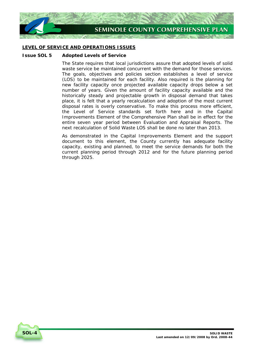

# **LEVEL OF SERVICE AND OPERATIONS ISSUES**

# **Issue SOL 5 Adopted Levels of Service**

The State requires that local jurisdictions assure that adopted levels of solid waste service be maintained concurrent with the demand for those services. The goals, objectives and policies section establishes a level of service (LOS) to be maintained for each facility. Also required is the planning for new facility capacity once projected available capacity drops below a set number of years. Given the amount of facility capacity available and the historically steady and projectable growth in disposal demand that takes place, it is felt that a yearly recalculation and adoption of the most current disposal rates is overly conservative. To make this process more efficient, the Level of Service standards set forth here and in the Capital Improvements Element of the Comprehensive Plan shall be in effect for the entire seven year period between Evaluation and Appraisal Reports. The next recalculation of Solid Waste LOS shall be done no later than 2013.

As demonstrated in the Capital Improvements Element and the support document to this element, the County currently has adequate facility capacity, existing and planned, to meet the service demands for both the current planning period through 2012 and for the future planning period through 2025.

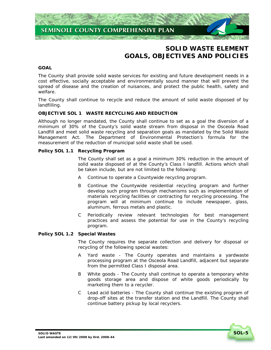

# **SOLID WASTE ELEMENT GOALS, OBJECTIVES AND POLICIES**

# **GOAL**

The County shall provide solid waste services for existing and future development needs in a cost effective, socially acceptable and environmentally sound manner that will prevent the spread of disease and the creation of nuisances, and protect the public health, safety and welfare.

The County shall continue to recycle and reduce the amount of solid waste disposed of by landfilling.

# **OBJECTIVE SOL 1 WASTE RECYCLING AND REDUCTION**

Although no longer mandated, the County shall continue to set as a goal the diversion of a minimum of 30% of the County's solid waste stream from disposal in the Osceola Road Landfill and meet solid waste recycling and separation goals as mandated by the Solid Waste Management Act. The Department of Environmental Protection's formula for the measurement of the reduction of municipal solid waste shall be used.

# **Policy SOL 1.1 Recycling Program**

The County shall set as a goal a minimum 30% reduction in the amount of solid waste disposed of at the County's Class I landfill. Actions which shall be taken include, but are not limited to the following:

- A Continue to operate a Countywide recycling program.
- B Continue the Countywide residential recycling program and further develop such program through mechanisms such as implementation of materials recycling facilities or contracting for recycling processing. The program will at minimum continue to include newspaper, glass, aluminum, ferrous metals and plastic.
- C Periodically review relevant technologies for best management practices and assess the potential for use in the County's recycling program.

#### **Policy SOL 1.2 Special Wastes**

The County requires the separate collection and delivery for disposal or recycling of the following special wastes:

- A Yard waste The County operates and maintains a yardwaste processing program at the Osceola Road Landfill, adjacent but separate from the permitted Class I disposal area.
- B White goods The County shall continue to operate a temporary white goods storage area and dispose of white goods periodically by marketing them to a recycler.
- C Lead acid batteries The County shall continue the existing program of drop-off sites at the transfer station and the Landfill. The County shall continue battery pickup by local recyclers.

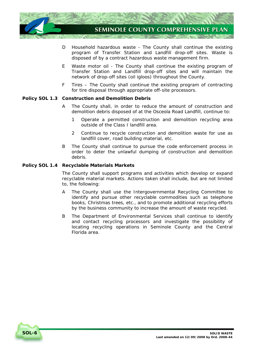

- D Household hazardous waste The County shall continue the existing program of Transfer Station and Landfill drop-off sites. Waste is disposed of by a contract hazardous waste management firm.
- E Waste motor oil The County shall continue the existing program of Transfer Station and Landfill drop-off sites and will maintain the network of drop-off sites (oil igloos) throughout the County.
- F Tires The County shall continue the existing program of contracting for tire disposal through appropriate off-site processors.

# **Policy SOL 1.3 Construction and Demolition Debris**

- A The County shall, in order to reduce the amount of construction and demolition debris disposed of at the Osceola Road Landfill, continue to:
	- 1 Operate a permitted construction and demolition recycling area outside of the Class I landfill area.
	- 2 Continue to recycle construction and demolition waste for use as landfill cover, road building material, etc.
- B The County shall continue to pursue the code enforcement process in order to deter the unlawful dumping of construction and demolition debris.

# **Policy SOL 1.4 Recyclable Materials Markets**

The County shall support programs and activities which develop or expand recyclable material markets. Actions taken shall include, but are not limited to, the following:

- A The County shall use the Intergovernmental Recycling Committee to identify and pursue other recyclable commodities such as telephone books, Christmas trees, etc., and to promote additional recycling efforts by the business community to increase the amount of waste recycled.
- B The Department of Environmental Services shall continue to identify and contact recycling processors and investigate the possibility of locating recycling operations in Seminole County and the Central Florida area.

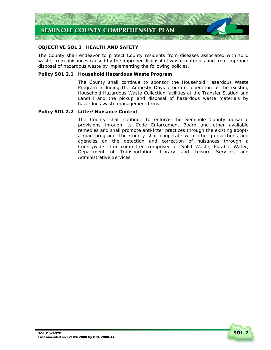

# **OBJECTIVE SOL 2 HEALTH AND SAFETY**

The County shall endeavor to protect County residents from diseases associated with solid waste, from nuisances caused by the improper disposal of waste materials and from improper disposal of hazardous waste by implementing the following policies.

# **Policy SOL 2.1 Household Hazardous Waste Program**

The County shall continue to sponsor the Household Hazardous Waste Program including the Amnesty Days program, operation of the existing Household Hazardous Waste Collection facilities at the Transfer Station and Landfill and the pickup and disposal of hazardous waste materials by hazardous waste management firms.

# **Policy SOL 2.2 Litter/Nuisance Control**

The County shall continue to enforce the Seminole County nuisance provisions through its Code Enforcement Board and other available remedies and shall promote anti-litter practices through the existing adopta-road program. The County shall cooperate with other jurisdictions and agencies on the detection and correction of nuisances through a Countywide litter committee comprised of Solid Waste, Potable Water, Department of Transportation, Library and Leisure Services and Administrative Services.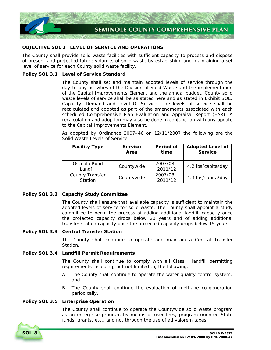

# **OBJECTIVE SOL 3 LEVEL OF SERVICE AND OPERATIONS**

The County shall provide solid waste facilities with sufficient capacity to process and dispose of present and projected future volumes of solid waste by establishing and maintaining a set level of service for each County solid waste facility.

# **Policy SOL 3.1 Level of Service Standard**

The County shall set and maintain adopted levels of service through the day-to-day activities of the Division of Solid Waste and the implementation of the Capital Improvements Element and the annual budget. County solid waste levels of service shall be as stated here and as stated in *Exhibit SOL: Capacity, Demand and Level Of Service*. The levels of service shall be recalculated and adopted as part of the amendments associated with each scheduled Comprehensive Plan Evaluation and Appraisal Report (EAR). A recalculation and adoption may also be done in conjunction with any update to the Capital Improvements Element.

As adopted by Ordinance 2007–46 on 12/11/2007 the following are the Solid Waste Levels of Service:

| <b>Facility Type</b>              | <b>Service</b><br>Area | Period of<br>time    | <b>Adopted Level of</b><br><b>Service</b> |
|-----------------------------------|------------------------|----------------------|-------------------------------------------|
| Osceola Road<br>Landfill          | Countywide             | 2007/08 -<br>2011/12 | 4.2 lbs/capita/day                        |
| <b>County Transfer</b><br>Station | Countywide             | 2007/08 -<br>2011/12 | 4.3 lbs/capita/day                        |

# **Policy SOL 3.2 Capacity Study Committee**

The County shall ensure that available capacity is sufficient to maintain the adopted levels of service for solid waste. The County shall appoint a study committee to begin the process of adding additional landfill capacity once the projected capacity drops below 20 years and of adding additional transfer station capacity once the projected capacity drops below 15 years.

# **Policy SOL 3.3 Central Transfer Station**

The County shall continue to operate and maintain a Central Transfer Station.

# **Policy SOL 3.4 Landfill Permit Requirements**

The County shall continue to comply with all Class I landfill permitting requirements including, but not limited to, the following:

- A The County shall continue to operate the water quality control system; and
- B The County shall continue the evaluation of methane co-generation periodically.

# **Policy SOL 3.5 Enterprise Operation**

The County shall continue to operate the Countywide solid waste program as an enterprise program by means of user fees, program oriented State funds, grants, etc., and not through the use of ad valorem taxes.

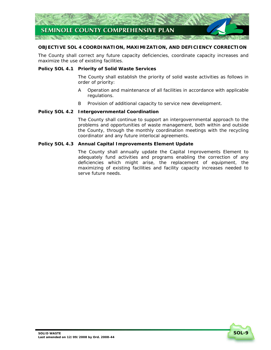

# **OBJECTIVE SOL 4 COORDINATION, MAXIMIZATION, AND DEFICIENCY CORRECTION**

The County shall correct any future capacity deficiencies, coordinate capacity increases and maximize the use of existing facilities.

# **Policy SOL 4.1 Priority of Solid Waste Services**

The County shall establish the priority of solid waste activities as follows in order of priority:

- A Operation and maintenance of all facilities in accordance with applicable regulations.
- B Provision of additional capacity to service new development.

# **Policy SOL 4.2 Intergovernmental Coordination**

The County shall continue to support an intergovernmental approach to the problems and opportunities of waste management, both within and outside the County, through the monthly coordination meetings with the recycling coordinator and any future interlocal agreements.

# **Policy SOL 4.3 Annual Capital Improvements Element Update**

The County shall annually update the Capital Improvements Element to adequately fund activities and programs enabling the correction of any deficiencies which might arise, the replacement of equipment, the maximizing of existing facilities and facility capacity increases needed to serve future needs.